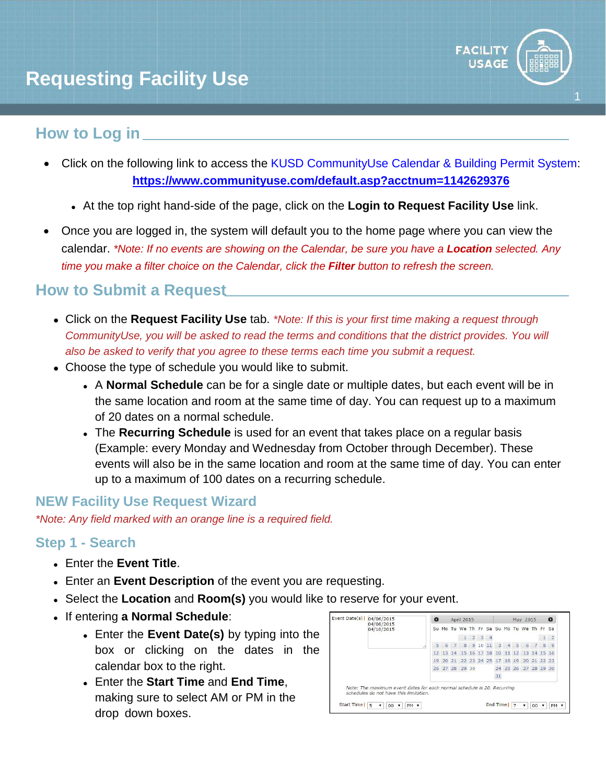

1

# **How to Log in**

- Click on the following link to access the [KUSD CommunityUse Calendar & Building Permit System:](https://www.communityuse.com/default.asp?acctnum=1142629376) **https://www.communityuse.com/default.asp?acctnum=1142629376**
	- At the top right hand-side of the page, click on the **Login to Request Facility Use** link.
- Once you are logged in, the system will default you to the home page where you can view the calendar. *\*Note: If no events are showing on the Calendar, be sure you have a Location selected. Any time you make a filter choice on the Calendar, click the Filter button to refresh the screen.*

# **How to Submit a Request**

- Click on the **Request Facility Use** tab. *\*Note: If this is your first time making a request through CommunityUse, you will be asked to read the terms and conditions that the district provides. You will also be asked to verify that you agree to these terms each time you submit a request.*
- Choose the type of schedule you would like to submit.
	- A **Normal Schedule** can be for a single date or multiple dates, but each event will be in the same location and room at the same time of day. You can request up to a maximum of 20 dates on a normal schedule.
	- The **Recurring Schedule** is used for an event that takes place on a regular basis (Example: every Monday and Wednesday from October through December). These events will also be in the same location and room at the same time of day. You can enter up to a maximum of 100 dates on a recurring schedule.

## **NEW Facility Use Request Wizard**

*\*Note: Any field marked with an orange line is a required field.*

## **Step 1 - Search**

- Enter the **Event Title**.
- Enter an **Event Description** of the event you are requesting.
- Select the **Location** and **Room(s)** you would like to reserve for your event.
- If entering **a Normal Schedule**:
	- Enter the **Event Date(s)** by typing into the box or clicking on the dates in the calendar box to the right.
	- Enter the **Start Time** and **End Time**, making sure to select AM or PM in the drop down boxes.

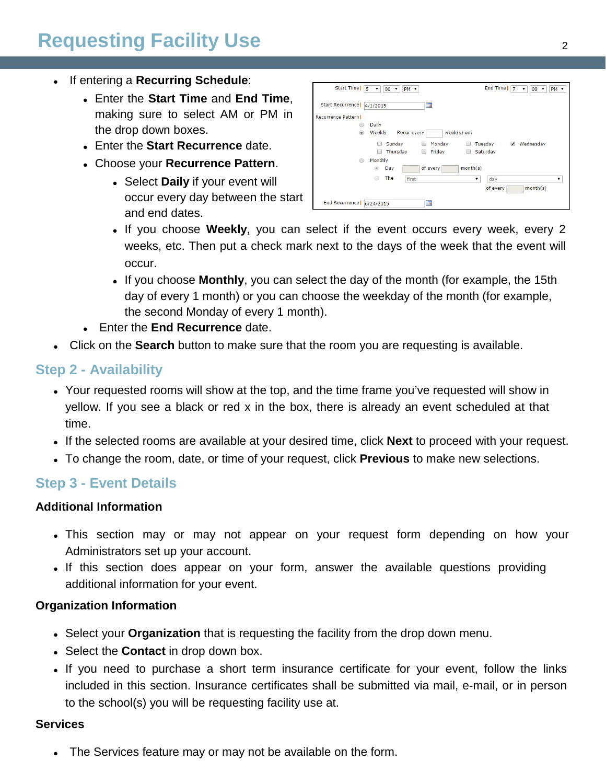# **Requesting Facility Use** <sup>2</sup>

- If entering a **Recurring Schedule**:
	- Enter the **Start Time** and **End Time**, making sure to select AM or PM in the drop down boxes.
	- Enter the **Start Recurrence** date.
	- Choose your **Recurrence Pattern**.
		- Select **Daily** if your event will occur every day between the start and end dates.

| Start Time $\sqrt{5}$ v     | $ 00 \rangle$<br>PM v       |                      | End Time $ 7 \times$ | 00 7<br>PM v                      |
|-----------------------------|-----------------------------|----------------------|----------------------|-----------------------------------|
| Start Recurrence   4/1/2015 |                             | $\blacksquare$       |                      |                                   |
| <b>Recurrence Pattern I</b> |                             |                      |                      |                                   |
| 60                          | Daily                       |                      |                      |                                   |
| $\circ$                     | Weekly<br>Recur every       | week(s) on:          |                      |                                   |
|                             | Sunday<br>( 3)<br>$10^{12}$ | Monday               | Tuesday              | Wednesday<br>$\blacktriangledown$ |
|                             | Thursday<br>m<br>O          | Friday<br><b>I</b>   | Saturday             |                                   |
| ◉                           | Monthly                     |                      |                      |                                   |
|                             | Day                         | month(s)<br>of every |                      |                                   |
|                             | The<br>⊚<br>first           |                      | day<br>۷             |                                   |
|                             |                             |                      | of every             | month(s)                          |

- If you choose **Weekly**, you can select if the event occurs every week, every 2 weeks, etc. Then put a check mark next to the days of the week that the event will occur.
- If you choose **Monthly**, you can select the day of the month (for example, the 15th day of every 1 month) or you can choose the weekday of the month (for example, the second Monday of every 1 month).
- Enter the **End Recurrence** date.
- Click on the **Search** button to make sure that the room you are requesting is available.

### **Step 2 - Availability**

- Your requested rooms will show at the top, and the time frame you've requested will show in yellow. If you see a black or red x in the box, there is already an event scheduled at that time.
- If the selected rooms are available at your desired time, click **Next** to proceed with your request.
- To change the room, date, or time of your request, click **Previous** to make new selections.

### **Step 3 - Event Details**

#### **Additional Information**

- This section may or may not appear on your request form depending on how your Administrators set up your account.
- If this section does appear on your form, answer the available questions providing additional information for your event.

#### **Organization Information**

- Select your **Organization** that is requesting the facility from the drop down menu.
- Select the **Contact** in drop down box.
- If you need to purchase a short term insurance certificate for your event, follow the links included in this section. Insurance certificates shall be submitted via mail, e-mail, or in person to the school(s) you will be requesting facility use at.

#### **Services**

The Services feature may or may not be available on the form.